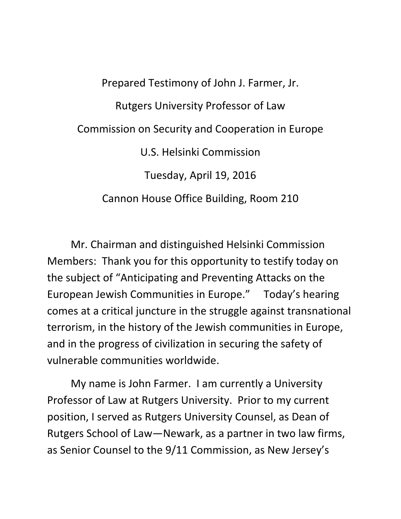Prepared Testimony of John J. Farmer, Jr. Rutgers University Professor of Law Commission on Security and Cooperation in Europe U.S. Helsinki Commission Tuesday, April 19, 2016 Cannon House Office Building, Room 210

Mr. Chairman and distinguished Helsinki Commission Members: Thank you for this opportunity to testify today on the subject of "Anticipating and Preventing Attacks on the European Jewish Communities in Europe." Today's hearing comes at a critical juncture in the struggle against transnational terrorism, in the history of the Jewish communities in Europe, and in the progress of civilization in securing the safety of vulnerable communities worldwide.

My name is John Farmer. I am currently a University Professor of Law at Rutgers University. Prior to my current position, I served as Rutgers University Counsel, as Dean of Rutgers School of Law—Newark, as a partner in two law firms, as Senior Counsel to the 9/11 Commission, as New Jersey's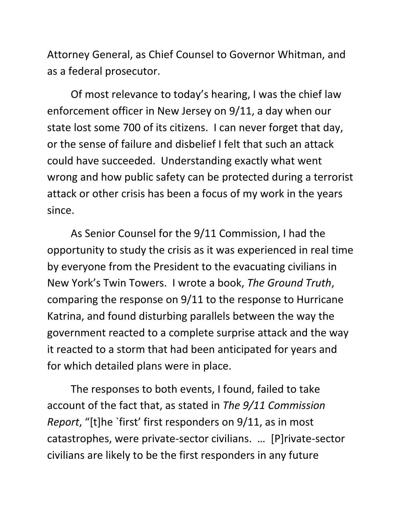Attorney General, as Chief Counsel to Governor Whitman, and as a federal prosecutor.

Of most relevance to today's hearing, I was the chief law enforcement officer in New Jersey on 9/11, a day when our state lost some 700 of its citizens. I can never forget that day, or the sense of failure and disbelief I felt that such an attack could have succeeded. Understanding exactly what went wrong and how public safety can be protected during a terrorist attack or other crisis has been a focus of my work in the years since.

As Senior Counsel for the 9/11 Commission, I had the opportunity to study the crisis as it was experienced in real time by everyone from the President to the evacuating civilians in New York's Twin Towers. I wrote a book, *The Ground Truth*, comparing the response on 9/11 to the response to Hurricane Katrina, and found disturbing parallels between the way the government reacted to a complete surprise attack and the way it reacted to a storm that had been anticipated for years and for which detailed plans were in place.

The responses to both events, I found, failed to take account of the fact that, as stated in *The 9/11 Commission Report*, "[t]he `first' first responders on 9/11, as in most catastrophes, were private-sector civilians. … [P]rivate-sector civilians are likely to be the first responders in any future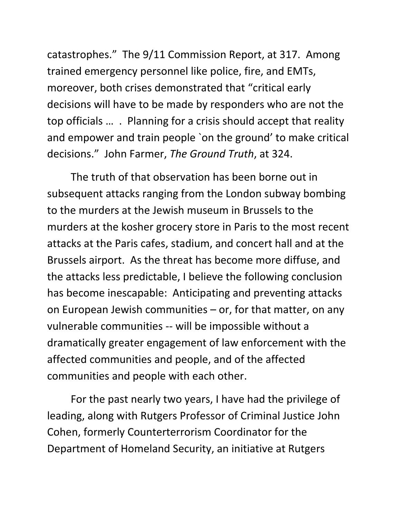catastrophes." The 9/11 Commission Report, at 317. Among trained emergency personnel like police, fire, and EMTs, moreover, both crises demonstrated that "critical early decisions will have to be made by responders who are not the top officials … . Planning for a crisis should accept that reality and empower and train people `on the ground' to make critical decisions." John Farmer, *The Ground Truth*, at 324.

The truth of that observation has been borne out in subsequent attacks ranging from the London subway bombing to the murders at the Jewish museum in Brussels to the murders at the kosher grocery store in Paris to the most recent attacks at the Paris cafes, stadium, and concert hall and at the Brussels airport. As the threat has become more diffuse, and the attacks less predictable, I believe the following conclusion has become inescapable: Anticipating and preventing attacks on European Jewish communities – or, for that matter, on any vulnerable communities -- will be impossible without a dramatically greater engagement of law enforcement with the affected communities and people, and of the affected communities and people with each other.

For the past nearly two years, I have had the privilege of leading, along with Rutgers Professor of Criminal Justice John Cohen, formerly Counterterrorism Coordinator for the Department of Homeland Security, an initiative at Rutgers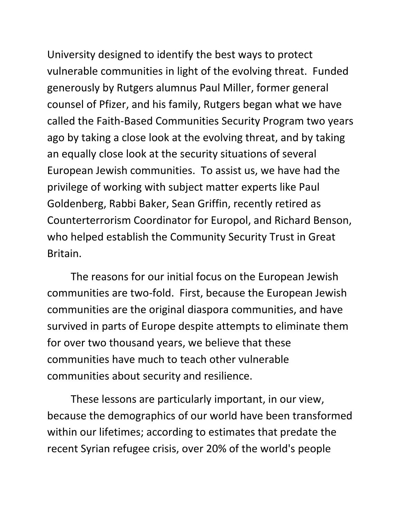University designed to identify the best ways to protect vulnerable communities in light of the evolving threat. Funded generously by Rutgers alumnus Paul Miller, former general counsel of Pfizer, and his family, Rutgers began what we have called the Faith-Based Communities Security Program two years ago by taking a close look at the evolving threat, and by taking an equally close look at the security situations of several European Jewish communities. To assist us, we have had the privilege of working with subject matter experts like Paul Goldenberg, Rabbi Baker, Sean Griffin, recently retired as Counterterrorism Coordinator for Europol, and Richard Benson, who helped establish the Community Security Trust in Great Britain.

The reasons for our initial focus on the European Jewish communities are two-fold. First, because the European Jewish communities are the original diaspora communities, and have survived in parts of Europe despite attempts to eliminate them for over two thousand years, we believe that these communities have much to teach other vulnerable communities about security and resilience.

These lessons are particularly important, in our view, because the demographics of our world have been transformed within our lifetimes; according to estimates that predate the recent Syrian refugee crisis, over 20% of the world's people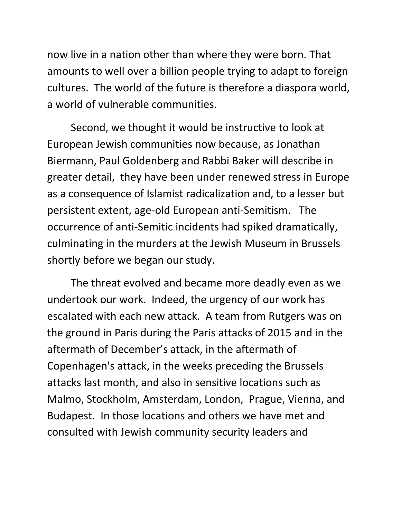now live in a nation other than where they were born. That amounts to well over a billion people trying to adapt to foreign cultures. The world of the future is therefore a diaspora world, a world of vulnerable communities.

Second, we thought it would be instructive to look at European Jewish communities now because, as Jonathan Biermann, Paul Goldenberg and Rabbi Baker will describe in greater detail, they have been under renewed stress in Europe as a consequence of Islamist radicalization and, to a lesser but persistent extent, age-old European anti-Semitism. The occurrence of anti-Semitic incidents had spiked dramatically, culminating in the murders at the Jewish Museum in Brussels shortly before we began our study.

The threat evolved and became more deadly even as we undertook our work. Indeed, the urgency of our work has escalated with each new attack. A team from Rutgers was on the ground in Paris during the Paris attacks of 2015 and in the aftermath of December's attack, in the aftermath of Copenhagen's attack, in the weeks preceding the Brussels attacks last month, and also in sensitive locations such as Malmo, Stockholm, Amsterdam, London, Prague, Vienna, and Budapest. In those locations and others we have met and consulted with Jewish community security leaders and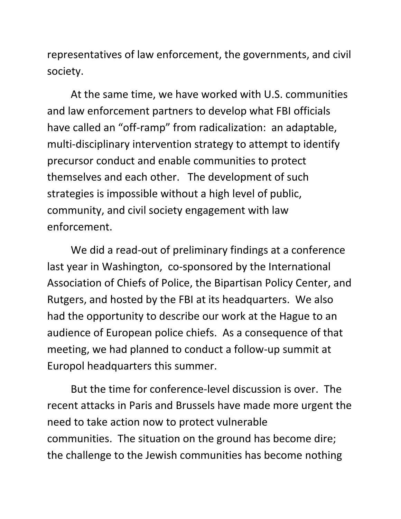representatives of law enforcement, the governments, and civil society.

At the same time, we have worked with U.S. communities and law enforcement partners to develop what FBI officials have called an "off-ramp" from radicalization: an adaptable, multi-disciplinary intervention strategy to attempt to identify precursor conduct and enable communities to protect themselves and each other. The development of such strategies is impossible without a high level of public, community, and civil society engagement with law enforcement.

We did a read-out of preliminary findings at a conference last year in Washington, co-sponsored by the International Association of Chiefs of Police, the Bipartisan Policy Center, and Rutgers, and hosted by the FBI at its headquarters. We also had the opportunity to describe our work at the Hague to an audience of European police chiefs. As a consequence of that meeting, we had planned to conduct a follow-up summit at Europol headquarters this summer.

But the time for conference-level discussion is over. The recent attacks in Paris and Brussels have made more urgent the need to take action now to protect vulnerable communities. The situation on the ground has become dire; the challenge to the Jewish communities has become nothing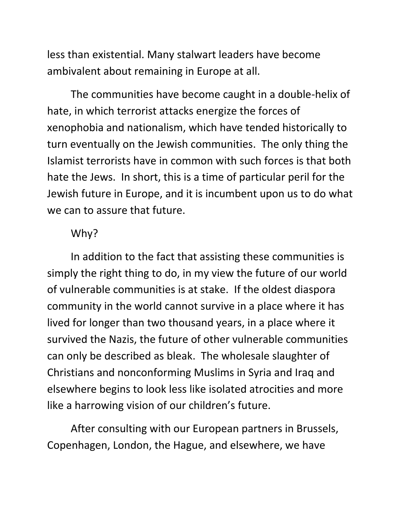less than existential. Many stalwart leaders have become ambivalent about remaining in Europe at all.

The communities have become caught in a double-helix of hate, in which terrorist attacks energize the forces of xenophobia and nationalism, which have tended historically to turn eventually on the Jewish communities. The only thing the Islamist terrorists have in common with such forces is that both hate the Jews. In short, this is a time of particular peril for the Jewish future in Europe, and it is incumbent upon us to do what we can to assure that future.

## Why?

In addition to the fact that assisting these communities is simply the right thing to do, in my view the future of our world of vulnerable communities is at stake. If the oldest diaspora community in the world cannot survive in a place where it has lived for longer than two thousand years, in a place where it survived the Nazis, the future of other vulnerable communities can only be described as bleak. The wholesale slaughter of Christians and nonconforming Muslims in Syria and Iraq and elsewhere begins to look less like isolated atrocities and more like a harrowing vision of our children's future.

After consulting with our European partners in Brussels, Copenhagen, London, the Hague, and elsewhere, we have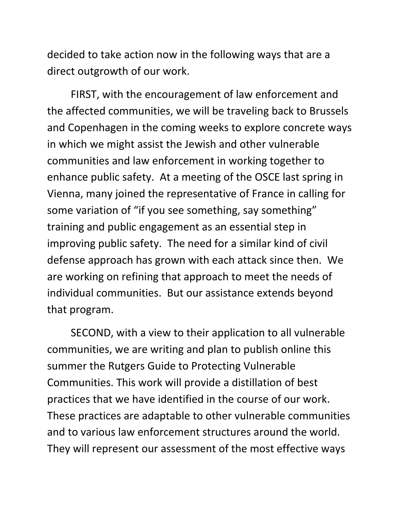decided to take action now in the following ways that are a direct outgrowth of our work.

FIRST, with the encouragement of law enforcement and the affected communities, we will be traveling back to Brussels and Copenhagen in the coming weeks to explore concrete ways in which we might assist the Jewish and other vulnerable communities and law enforcement in working together to enhance public safety. At a meeting of the OSCE last spring in Vienna, many joined the representative of France in calling for some variation of "if you see something, say something" training and public engagement as an essential step in improving public safety. The need for a similar kind of civil defense approach has grown with each attack since then. We are working on refining that approach to meet the needs of individual communities. But our assistance extends beyond that program.

SECOND, with a view to their application to all vulnerable communities, we are writing and plan to publish online this summer the Rutgers Guide to Protecting Vulnerable Communities. This work will provide a distillation of best practices that we have identified in the course of our work. These practices are adaptable to other vulnerable communities and to various law enforcement structures around the world. They will represent our assessment of the most effective ways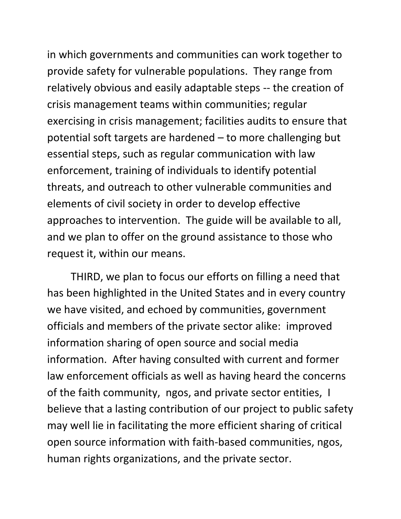in which governments and communities can work together to provide safety for vulnerable populations. They range from relatively obvious and easily adaptable steps -- the creation of crisis management teams within communities; regular exercising in crisis management; facilities audits to ensure that potential soft targets are hardened – to more challenging but essential steps, such as regular communication with law enforcement, training of individuals to identify potential threats, and outreach to other vulnerable communities and elements of civil society in order to develop effective approaches to intervention. The guide will be available to all, and we plan to offer on the ground assistance to those who request it, within our means.

THIRD, we plan to focus our efforts on filling a need that has been highlighted in the United States and in every country we have visited, and echoed by communities, government officials and members of the private sector alike: improved information sharing of open source and social media information. After having consulted with current and former law enforcement officials as well as having heard the concerns of the faith community, ngos, and private sector entities, I believe that a lasting contribution of our project to public safety may well lie in facilitating the more efficient sharing of critical open source information with faith-based communities, ngos, human rights organizations, and the private sector.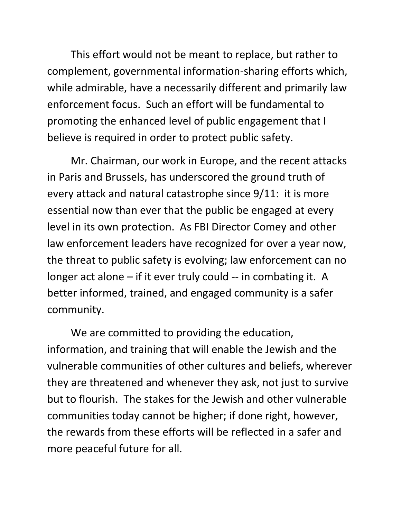This effort would not be meant to replace, but rather to complement, governmental information-sharing efforts which, while admirable, have a necessarily different and primarily law enforcement focus. Such an effort will be fundamental to promoting the enhanced level of public engagement that I believe is required in order to protect public safety.

Mr. Chairman, our work in Europe, and the recent attacks in Paris and Brussels, has underscored the ground truth of every attack and natural catastrophe since 9/11: it is more essential now than ever that the public be engaged at every level in its own protection. As FBI Director Comey and other law enforcement leaders have recognized for over a year now, the threat to public safety is evolving; law enforcement can no longer act alone – if it ever truly could -- in combating it. A better informed, trained, and engaged community is a safer community.

We are committed to providing the education, information, and training that will enable the Jewish and the vulnerable communities of other cultures and beliefs, wherever they are threatened and whenever they ask, not just to survive but to flourish. The stakes for the Jewish and other vulnerable communities today cannot be higher; if done right, however, the rewards from these efforts will be reflected in a safer and more peaceful future for all.